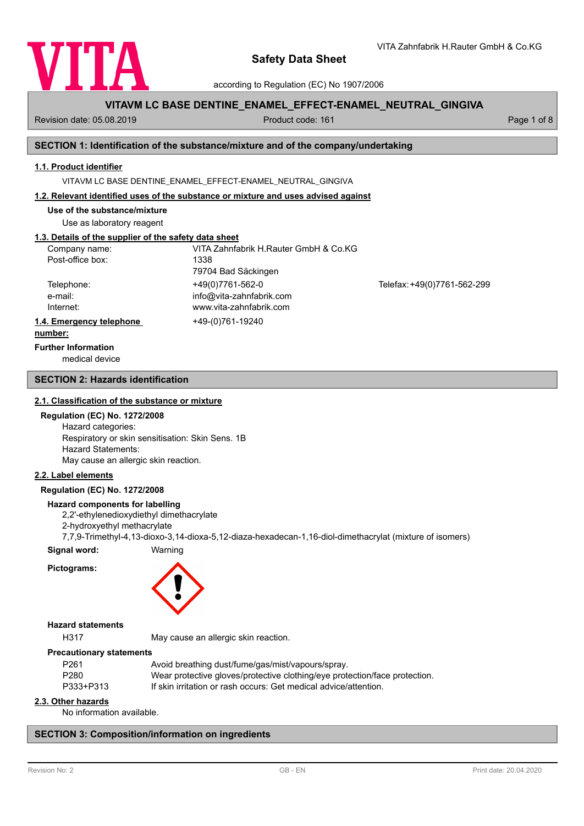

according to Regulation (EC) No 1907/2006

# **VITAVM LC BASE DENTINE\_ENAMEL\_EFFECT-ENAMEL\_NEUTRAL\_GINGIVA**

Revision date: 05.08.2019 **Product code: 161** Product code: 161 **Page 1 of 8** Page 1 of 8

VITA Zahnfabrik H.Rauter GmbH & Co.KG

# **SECTION 1: Identification of the substance/mixture and of the company/undertaking**

## **1.1. Product identifier**

VITAVM LC BASE DENTINE\_ENAMEL\_EFFECT-ENAMEL\_NEUTRAL\_GINGIVA

## **1.2. Relevant identified uses of the substance or mixture and uses advised against**

**Use of the substance/mixture**

Use as laboratory reagent

# **1.3. Details of the supplier of the safety data sheet**

| Company name:            | VITA Zahnfabrik H.Rauter GmbH & Co.KG |                             |
|--------------------------|---------------------------------------|-----------------------------|
| Post-office box:         | 1338                                  |                             |
|                          | 79704 Bad Säckingen                   |                             |
| Telephone:               | +49(0)7761-562-0                      | Telefax: +49(0)7761-562-299 |
| e-mail:                  | info@vita-zahnfabrik.com              |                             |
| Internet:                | www.vita-zahnfabrik.com               |                             |
| 1.4. Emergency telephone | +49-(0)761-19240                      |                             |
| . <b>1.</b>              |                                       |                             |

#### **number:**

**Further Information**

medical device

# **SECTION 2: Hazards identification**

## **2.1. Classification of the substance or mixture**

## **Regulation (EC) No. 1272/2008**

Hazard categories: Respiratory or skin sensitisation: Skin Sens. 1B Hazard Statements: May cause an allergic skin reaction.

## **2.2. Label elements**

## **Regulation (EC) No. 1272/2008**

#### **Hazard components for labelling**

2,2'-ethylenedioxydiethyl dimethacrylate

2-hydroxyethyl methacrylate

7,7,9-Trimethyl-4,13-dioxo-3,14-dioxa-5,12-diaza-hexadecan-1,16-diol-dimethacrylat (mixture of isomers)

**Signal word:** Warning

**Pictograms:**



## **Hazard statements**

H317 May cause an allergic skin reaction.

## **Precautionary statements**

| P261      | Avoid breathing dust/fume/gas/mist/vapours/spray.                          |
|-----------|----------------------------------------------------------------------------|
| P280      | Wear protective gloves/protective clothing/eye protection/face protection. |
| P333+P313 | If skin irritation or rash occurs: Get medical advice/attention.           |
|           |                                                                            |

## **2.3. Other hazards**

No information available.

## **SECTION 3: Composition/information on ingredients**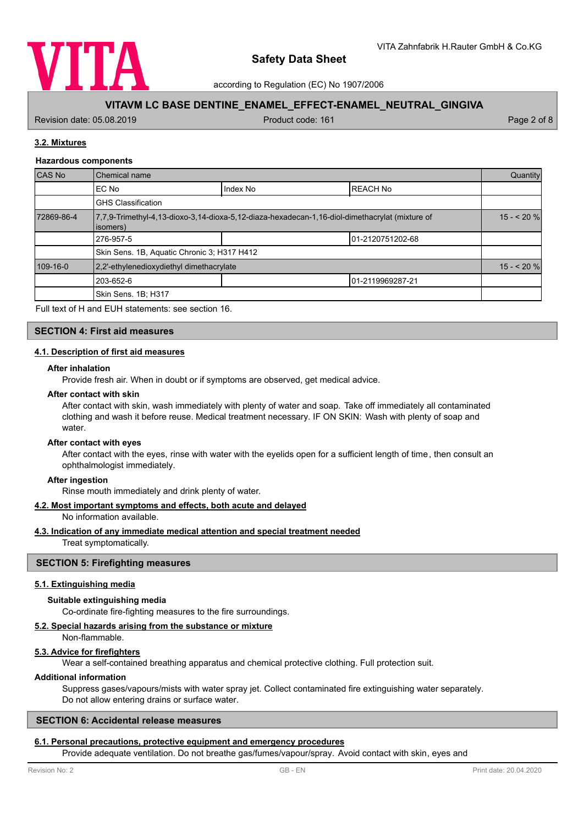

according to Regulation (EC) No 1907/2006

# **VITAVM LC BASE DENTINE\_ENAMEL\_EFFECT-ENAMEL\_NEUTRAL\_GINGIVA**

Revision date: 05.08.2019 **Product code: 161** Product code: 161 **Page 2 of 8** Page 2 of 8

# **3.2. Mixtures**

## **Hazardous components**

| CAS No     | Chemical name                                                                                              |          | Quantity          |  |
|------------|------------------------------------------------------------------------------------------------------------|----------|-------------------|--|
|            | EC No                                                                                                      | Index No | <b>REACH No</b>   |  |
|            | <b>GHS Classification</b>                                                                                  |          |                   |  |
| 72869-86-4 | 7,7,9-Trimethyl-4,13-dioxo-3,14-dioxa-5,12-diaza-hexadecan-1,16-diol-dimethacrylat (mixture of<br>(isomers |          | $15 - 20$ %       |  |
|            | 276-957-5                                                                                                  |          | 101-2120751202-68 |  |
|            | Skin Sens. 1B, Aquatic Chronic 3; H317 H412                                                                |          |                   |  |
| 109-16-0   | 2,2'-ethylenedioxydiethyl dimethacrylate                                                                   |          | $15 - 20%$        |  |
|            | 203-652-6                                                                                                  |          | 01-2119969287-21  |  |
|            | Skin Sens. 1B; H317                                                                                        |          |                   |  |

Full text of H and EUH statements: see section 16.

## **SECTION 4: First aid measures**

## **4.1. Description of first aid measures**

## **After inhalation**

Provide fresh air. When in doubt or if symptoms are observed, get medical advice.

## **After contact with skin**

After contact with skin, wash immediately with plenty of water and soap. Take off immediately all contaminated clothing and wash it before reuse. Medical treatment necessary. IF ON SKIN: Wash with plenty of soap and water.

#### **After contact with eyes**

After contact with the eyes, rinse with water with the eyelids open for a sufficient length of time, then consult an ophthalmologist immediately.

#### **After ingestion**

Rinse mouth immediately and drink plenty of water.

## **4.2. Most important symptoms and effects, both acute and delayed**

No information available.

## **4.3. Indication of any immediate medical attention and special treatment needed**

Treat symptomatically.

## **SECTION 5: Firefighting measures**

## **5.1. Extinguishing media**

## **Suitable extinguishing media**

Co-ordinate fire-fighting measures to the fire surroundings.

## **5.2. Special hazards arising from the substance or mixture**

Non-flammable.

## **5.3. Advice for firefighters**

Wear a self-contained breathing apparatus and chemical protective clothing. Full protection suit.

## **Additional information**

Suppress gases/vapours/mists with water spray jet. Collect contaminated fire extinguishing water separately. Do not allow entering drains or surface water.

## **SECTION 6: Accidental release measures**

# **6.1. Personal precautions, protective equipment and emergency procedures**

Provide adequate ventilation. Do not breathe gas/fumes/vapour/spray. Avoid contact with skin, eyes and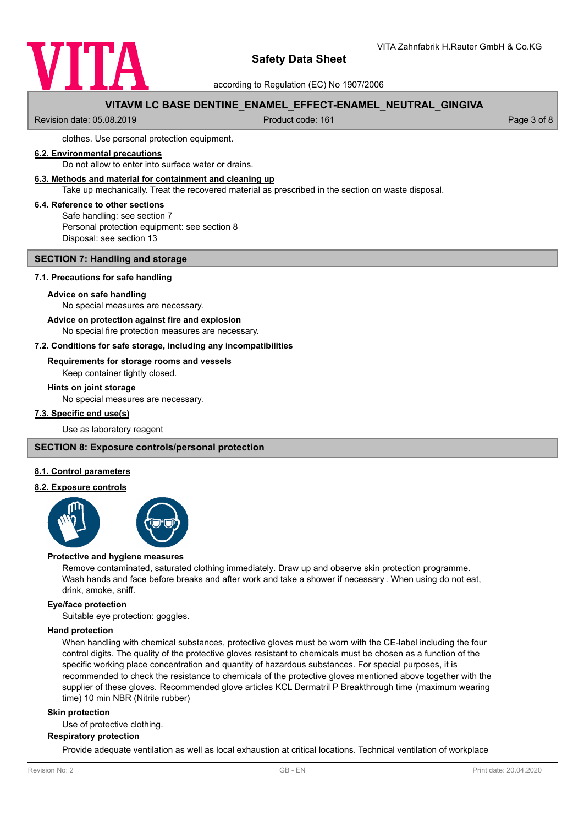

according to Regulation (EC) No 1907/2006

# **VITAVM LC BASE DENTINE\_ENAMEL\_EFFECT-ENAMEL\_NEUTRAL\_GINGIVA**

Revision date: 05.08.2019 **Product code: 161** Product code: 161 **Page 3 of 8** Page 3 of 8

clothes. Use personal protection equipment.

## **6.2. Environmental precautions**

Do not allow to enter into surface water or drains.

## **6.3. Methods and material for containment and cleaning up**

Take up mechanically. Treat the recovered material as prescribed in the section on waste disposal.

## **6.4. Reference to other sections**

Safe handling: see section 7 Personal protection equipment: see section 8 Disposal: see section 13

## **SECTION 7: Handling and storage**

## **7.1. Precautions for safe handling**

#### **Advice on safe handling**

No special measures are necessary.

#### **Advice on protection against fire and explosion**

No special fire protection measures are necessary.

## **7.2. Conditions for safe storage, including any incompatibilities**

## **Requirements for storage rooms and vessels**

Keep container tightly closed.

#### **Hints on joint storage**

No special measures are necessary.

## **7.3. Specific end use(s)**

Use as laboratory reagent

## **SECTION 8: Exposure controls/personal protection**

## **8.1. Control parameters**

## **8.2. Exposure controls**



#### **Protective and hygiene measures**

Remove contaminated, saturated clothing immediately. Draw up and observe skin protection programme. Wash hands and face before breaks and after work and take a shower if necessary . When using do not eat, drink, smoke, sniff.

## **Eye/face protection**

Suitable eye protection: goggles.

## **Hand protection**

When handling with chemical substances, protective gloves must be worn with the CE-label including the four control digits. The quality of the protective gloves resistant to chemicals must be chosen as a function of the specific working place concentration and quantity of hazardous substances. For special purposes, it is recommended to check the resistance to chemicals of the protective gloves mentioned above together with the supplier of these gloves. Recommended glove articles KCL Dermatril P Breakthrough time (maximum wearing time) 10 min NBR (Nitrile rubber)

## **Skin protection**

Use of protective clothing.

## **Respiratory protection**

Provide adequate ventilation as well as local exhaustion at critical locations. Technical ventilation of workplace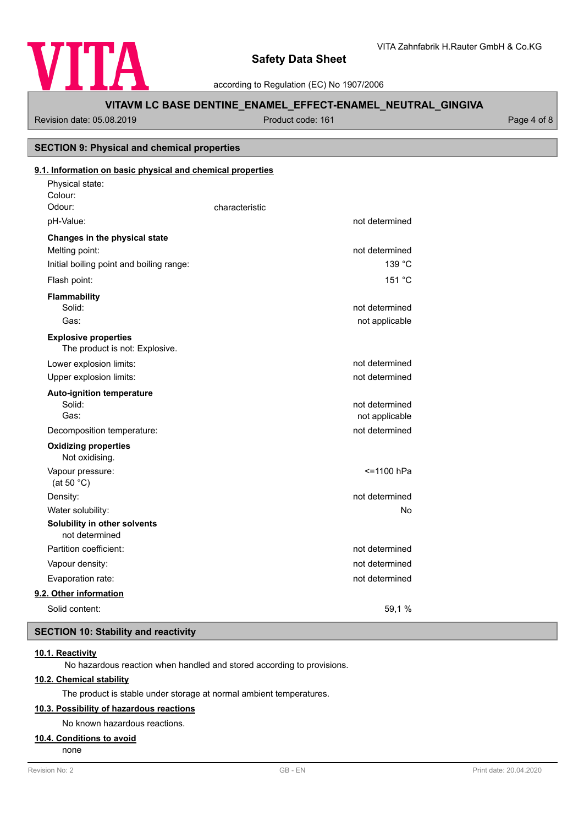

according to Regulation (EC) No 1907/2006

# **VITAVM LC BASE DENTINE\_ENAMEL\_EFFECT-ENAMEL\_NEUTRAL\_GINGIVA**

# Revision date: 05.08.2019 <br>
Product code: 161 Page 4 of 8 Physical state: Colour: **9.1. Information on basic physical and chemical properties SECTION 9: Physical and chemical properties** Odour: Characteristic pH-Value: not determined **Changes in the physical state** Melting point: not determined Initial boiling point and boiling range: 139 °C Flash point: 151 °C **Flammability** Solid: **not determined** and the solid: **not determined** and the solid: **not determined** and the solid: **not determined** and the solid: **not determined** and the solid: **not determined** and the solid: **note** that the solid: Gas: contract the contract of the contract of the contract of the contract of the contract of the contract of the contract of the contract of the contract of the contract of the contract of the contract of the contract of The product is not: Explosive. **Explosive properties** Lower explosion limits:  $\qquad \qquad \qquad$  not determined Upper explosion limits:  $\blacksquare$ **Auto-ignition temperature** Solid: **not determined** and the solid: **not determined** and the solid: **not determined** and the solid: **not determined** and the solid: **not determined** and the solid: **not determined** and the solid: **note** that the solid: Gas: Gas: not applicable contract to the contract of the contract of the contract of the contract of the contract of the contract of the contract of the contract of the contract of the contract of the contract of the contr Decomposition temperature: not determined Not oxidising. **Oxidizing properties** Vapour pressure:  $\le$  1100 hPa (at 50 °C) Density: not determined Water solubility: No **Solubility in other solvents** not determined Partition coefficient: not determined Vapour density: not determined Evaporation rate: not determined **9.2. Other information**

Solid content: 59,1 %

# **SECTION 10: Stability and reactivity**

# **10.1. Reactivity**

No hazardous reaction when handled and stored according to provisions.

# **10.2. Chemical stability**

The product is stable under storage at normal ambient temperatures.

# **10.3. Possibility of hazardous reactions**

No known hazardous reactions.

# **10.4. Conditions to avoid**

none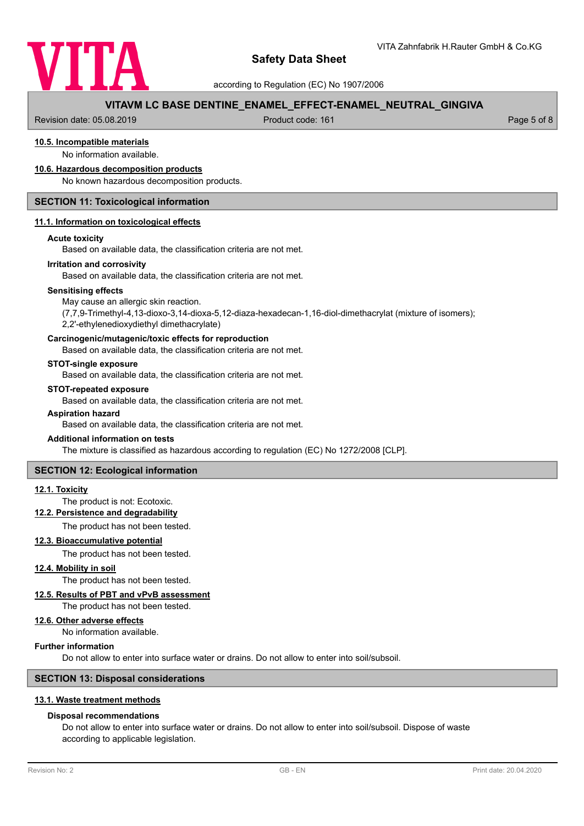

according to Regulation (EC) No 1907/2006

# **VITAVM LC BASE DENTINE\_ENAMEL\_EFFECT-ENAMEL\_NEUTRAL\_GINGIVA**

Revision date: 05.08.2019 **Product code: 161** Product code: 161 **Page 5 of 8** Page 5 of 8

# **10.5. Incompatible materials**

No information available.

## **10.6. Hazardous decomposition products**

No known hazardous decomposition products.

# **SECTION 11: Toxicological information**

## **11.1. Information on toxicological effects**

## **Acute toxicity**

Based on available data, the classification criteria are not met.

## **Irritation and corrosivity**

Based on available data, the classification criteria are not met.

## **Sensitising effects**

May cause an allergic skin reaction.

(7,7,9-Trimethyl-4,13-dioxo-3,14-dioxa-5,12-diaza-hexadecan-1,16-diol-dimethacrylat (mixture of isomers); 2,2'-ethylenedioxydiethyl dimethacrylate)

## **Carcinogenic/mutagenic/toxic effects for reproduction**

Based on available data, the classification criteria are not met.

## **STOT-single exposure**

Based on available data, the classification criteria are not met.

## **STOT-repeated exposure**

Based on available data, the classification criteria are not met.

#### **Aspiration hazard**

Based on available data, the classification criteria are not met.

# **Additional information on tests**

The mixture is classified as hazardous according to regulation (EC) No 1272/2008 [CLP].

## **SECTION 12: Ecological information**

## **12.1. Toxicity**

# The product is not: Ecotoxic.

**12.2. Persistence and degradability**

The product has not been tested.

#### **12.3. Bioaccumulative potential**

The product has not been tested.

## **12.4. Mobility in soil**

The product has not been tested.

## **12.5. Results of PBT and vPvB assessment**

The product has not been tested.

# **12.6. Other adverse effects**

No information available.

## **Further information**

Do not allow to enter into surface water or drains. Do not allow to enter into soil/subsoil.

## **SECTION 13: Disposal considerations**

# **13.1. Waste treatment methods**

# **Disposal recommendations**

Do not allow to enter into surface water or drains. Do not allow to enter into soil/subsoil. Dispose of waste according to applicable legislation.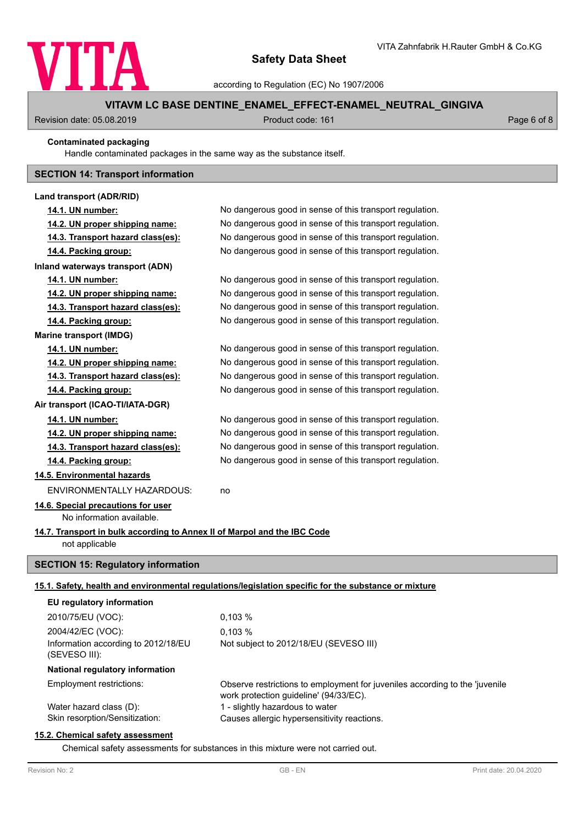

according to Regulation (EC) No 1907/2006

# **VITAVM LC BASE DENTINE\_ENAMEL\_EFFECT-ENAMEL\_NEUTRAL\_GINGIVA**

Revision date: 05.08.2019 **Product code: 161** Product code: 161 **Page 6 of 8** 

## **Contaminated packaging**

Handle contaminated packages in the same way as the substance itself.

# **SECTION 14: Transport information**

| Land transport (ADR/RID)                                                                   |                                                                                                                       |
|--------------------------------------------------------------------------------------------|-----------------------------------------------------------------------------------------------------------------------|
| 14.1. UN number:                                                                           | No dangerous good in sense of this transport regulation.                                                              |
| 14.2. UN proper shipping name:                                                             | No dangerous good in sense of this transport regulation.                                                              |
| 14.3. Transport hazard class(es):                                                          | No dangerous good in sense of this transport regulation.                                                              |
| 14.4. Packing group:                                                                       | No dangerous good in sense of this transport regulation.                                                              |
| Inland waterways transport (ADN)                                                           |                                                                                                                       |
| 14.1. UN number:                                                                           | No dangerous good in sense of this transport regulation.                                                              |
| 14.2. UN proper shipping name:                                                             | No dangerous good in sense of this transport regulation.                                                              |
| 14.3. Transport hazard class(es):                                                          | No dangerous good in sense of this transport regulation.                                                              |
| 14.4. Packing group:                                                                       | No dangerous good in sense of this transport regulation.                                                              |
| <b>Marine transport (IMDG)</b>                                                             |                                                                                                                       |
| 14.1. UN number:                                                                           | No dangerous good in sense of this transport regulation.                                                              |
| 14.2. UN proper shipping name:                                                             | No dangerous good in sense of this transport regulation.                                                              |
| 14.3. Transport hazard class(es):                                                          | No dangerous good in sense of this transport regulation.                                                              |
| 14.4. Packing group:                                                                       | No dangerous good in sense of this transport regulation.                                                              |
| Air transport (ICAO-TI/IATA-DGR)                                                           |                                                                                                                       |
| 14.1. UN number:                                                                           | No dangerous good in sense of this transport regulation.                                                              |
| 14.2. UN proper shipping name:                                                             | No dangerous good in sense of this transport regulation.                                                              |
| 14.3. Transport hazard class(es):                                                          | No dangerous good in sense of this transport regulation.                                                              |
| 14.4. Packing group:                                                                       | No dangerous good in sense of this transport regulation.                                                              |
| 14.5. Environmental hazards                                                                |                                                                                                                       |
| <b>ENVIRONMENTALLY HAZARDOUS:</b>                                                          | no                                                                                                                    |
| 14.6. Special precautions for user                                                         |                                                                                                                       |
| No information available.                                                                  |                                                                                                                       |
| 14.7. Transport in bulk according to Annex II of Marpol and the IBC Code<br>not applicable |                                                                                                                       |
|                                                                                            |                                                                                                                       |
| <b>SECTION 15: Regulatory information</b>                                                  |                                                                                                                       |
|                                                                                            | 15.1. Safety, health and environmental regulations/legislation specific for the substance or mixture                  |
| EU regulatory information                                                                  |                                                                                                                       |
| 2010/75/EU (VOC):                                                                          | 0,103%                                                                                                                |
| 2004/42/EC (VOC):                                                                          | 0.103%                                                                                                                |
| Information according to 2012/18/EU<br>(SEVESO III):                                       | Not subject to 2012/18/EU (SEVESO III)                                                                                |
| National regulatory information                                                            |                                                                                                                       |
| Employment restrictions:                                                                   | Observe restrictions to employment for juveniles according to the 'juvenile<br>work protection guideline' (94/33/EC). |
| Water hazard class (D):<br>Skin resorption/Sensitization:                                  | 1 - slightly hazardous to water<br>Causes allergic hypersensitivity reactions.                                        |
|                                                                                            |                                                                                                                       |

# **15.2. Chemical safety assessment**

Chemical safety assessments for substances in this mixture were not carried out.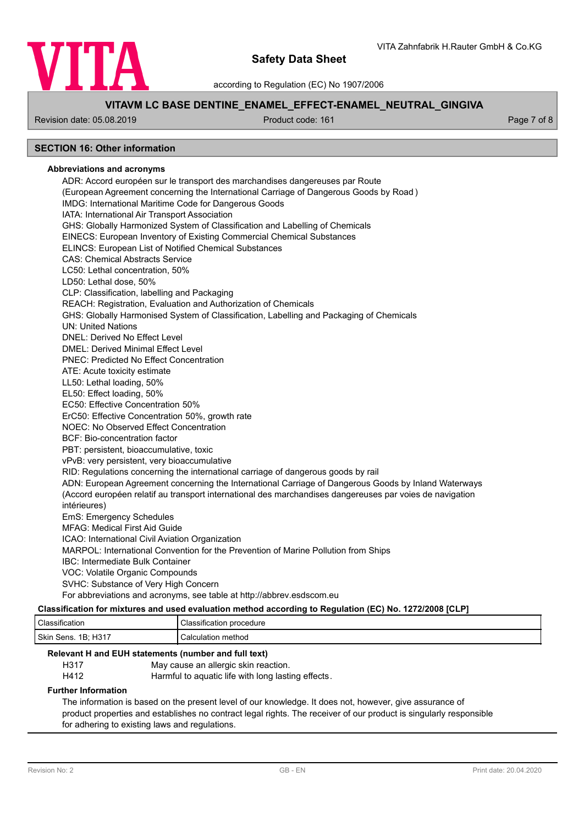

according to Regulation (EC) No 1907/2006

# **VITAVM LC BASE DENTINE\_ENAMEL\_EFFECT-ENAMEL\_NEUTRAL\_GINGIVA**

Revision date: 05.08.2019 **Product code: 161** Product code: 161 **Page 7 of 8** Page 7 of 8

# **SECTION 16: Other information**

## **Abbreviations and acronyms**

ADR: Accord européen sur le transport des marchandises dangereuses par Route (European Agreement concerning the International Carriage of Dangerous Goods by Road ) IMDG: International Maritime Code for Dangerous Goods IATA: International Air Transport Association GHS: Globally Harmonized System of Classification and Labelling of Chemicals EINECS: European Inventory of Existing Commercial Chemical Substances ELINCS: European List of Notified Chemical Substances CAS: Chemical Abstracts Service LC50: Lethal concentration, 50% LD50: Lethal dose, 50% CLP: Classification, labelling and Packaging REACH: Registration, Evaluation and Authorization of Chemicals GHS: Globally Harmonised System of Classification, Labelling and Packaging of Chemicals UN: United Nations DNEL: Derived No Effect Level DMEL: Derived Minimal Effect Level PNEC: Predicted No Effect Concentration ATE: Acute toxicity estimate LL50: Lethal loading, 50% EL50: Effect loading, 50% EC50: Effective Concentration 50% ErC50: Effective Concentration 50%, growth rate NOEC: No Observed Effect Concentration BCF: Bio-concentration factor PBT: persistent, bioaccumulative, toxic vPvB: very persistent, very bioaccumulative RID: Regulations concerning the international carriage of dangerous goods by rail ADN: European Agreement concerning the International Carriage of Dangerous Goods by Inland Waterways (Accord européen relatif au transport international des marchandises dangereuses par voies de navigation intérieures) EmS: Emergency Schedules MFAG: Medical First Aid Guide ICAO: International Civil Aviation Organization MARPOL: International Convention for the Prevention of Marine Pollution from Ships IBC: Intermediate Bulk Container VOC: Volatile Organic Compounds SVHC: Substance of Very High Concern For abbreviations and acronyms, see table at http://abbrev.esdscom.eu

## **Classification for mixtures and used evaluation method according to Regulation (EC) No. 1272/2008 [CLP]**

| Classification               | Classification procedure |
|------------------------------|--------------------------|
| H317<br>Skin<br>1B:<br>Sens. | Calculation method       |

# **Relevant H and EUH statements (number and full text)**

H317 May cause an allergic skin reaction.

H412 Harmful to aquatic life with long lasting effects.

## **Further Information**

The information is based on the present level of our knowledge. It does not, however, give assurance of product properties and establishes no contract legal rights. The receiver of our product is singularly responsible for adhering to existing laws and regulations.